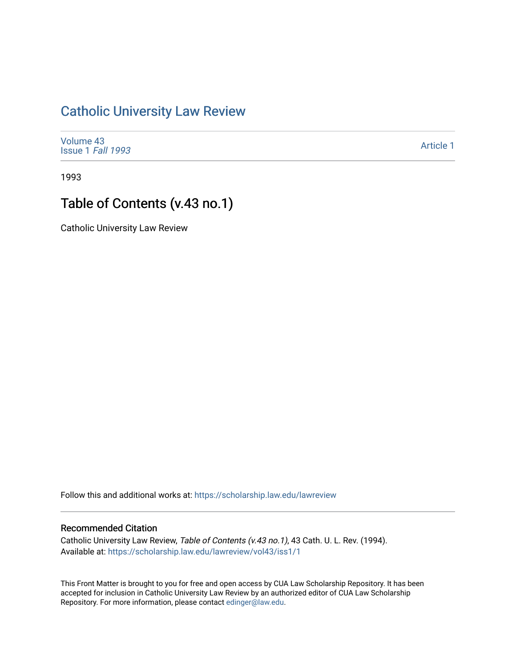# [Catholic University Law Review](https://scholarship.law.edu/lawreview)

[Volume 43](https://scholarship.law.edu/lawreview/vol43) [Issue 1](https://scholarship.law.edu/lawreview/vol43/iss1) Fall 1993

[Article 1](https://scholarship.law.edu/lawreview/vol43/iss1/1) 

1993

# Table of Contents (v.43 no.1)

Catholic University Law Review

Follow this and additional works at: [https://scholarship.law.edu/lawreview](https://scholarship.law.edu/lawreview?utm_source=scholarship.law.edu%2Flawreview%2Fvol43%2Fiss1%2F1&utm_medium=PDF&utm_campaign=PDFCoverPages)

#### Recommended Citation

Catholic University Law Review, Table of Contents (v.43 no. 1), 43 Cath. U. L. Rev. (1994). Available at: [https://scholarship.law.edu/lawreview/vol43/iss1/1](https://scholarship.law.edu/lawreview/vol43/iss1/1?utm_source=scholarship.law.edu%2Flawreview%2Fvol43%2Fiss1%2F1&utm_medium=PDF&utm_campaign=PDFCoverPages)

This Front Matter is brought to you for free and open access by CUA Law Scholarship Repository. It has been accepted for inclusion in Catholic University Law Review by an authorized editor of CUA Law Scholarship Repository. For more information, please contact [edinger@law.edu.](mailto:edinger@law.edu)